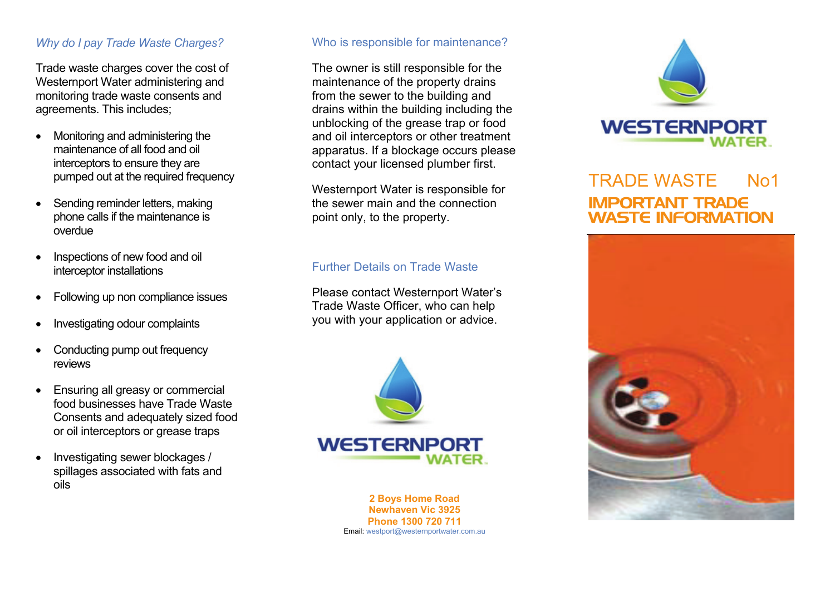## *Why do I pay Trade Waste Charges?*

Trade waste charges cover the cost of Westernport Water administering and monitoring trade waste consents and agreements. This includes;

- Monitoring and administering the maintenance of all food and oil interceptors to ensure they are pumped out at the required frequency
- Sending reminder letters, making phone calls if the maintenance is overdue
- Inspections of new food and oil interceptor installations
- Following up non compliance issues
- Investigating odour complaints
- Conducting pump out frequency reviews
- Ensuring all greasy or commercial food businesses have Trade Waste Consents and adequately sized food or oil interceptors or grease traps
- Investigating sewer blockages / spillages associated with fats and oils

## Who is responsible for maintenance?

The owner is still responsible for the maintenance of the property drains from the sewer to the building and drains within the building including the unblocking of the grease trap or food and oil interceptors or other treatment apparatus. If a blockage occurs please contact your licensed plumber first.

Westernport Water is responsible for the sewer main and the connection point only, to the property.

## Further Details on Trade Waste

Please contact Westernport Water's Trade Waste Officer, who can help you with your application or advice.



**2 Boys Home Road Newhaven Vic 3925 Phone 1300 720 711** Email: westport@westernportwater.com.au



# TRADE WASTE No1IMPORTANT TRADE WASTE INFORMATION